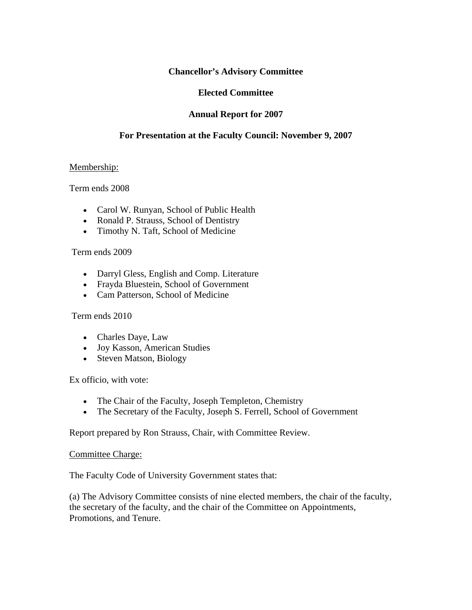## **Chancellor's Advisory Committee**

## **Elected Committee**

# **Annual Report for 2007**

# **For Presentation at the Faculty Council: November 9, 2007**

### Membership:

Term ends 2008

- Carol W. Runyan, School of Public Health
- Ronald P. Strauss, School of Dentistry
- Timothy N. Taft, School of Medicine

### Term ends 2009

- Darryl Gless, English and Comp. Literature
- Frayda Bluestein, School of Government
- Cam Patterson, School of Medicine

### Term ends 2010

- Charles Daye, Law
- Joy Kasson, American Studies
- Steven Matson, Biology

Ex officio, with vote:

- The Chair of the Faculty, Joseph Templeton, Chemistry
- The Secretary of the Faculty, Joseph S. Ferrell, School of Government

Report prepared by Ron Strauss, Chair, with Committee Review.

#### Committee Charge:

The Faculty Code of University Government states that:

(a) The Advisory Committee consists of nine elected members, the chair of the faculty, the secretary of the faculty, and the chair of the Committee on Appointments, Promotions, and Tenure.